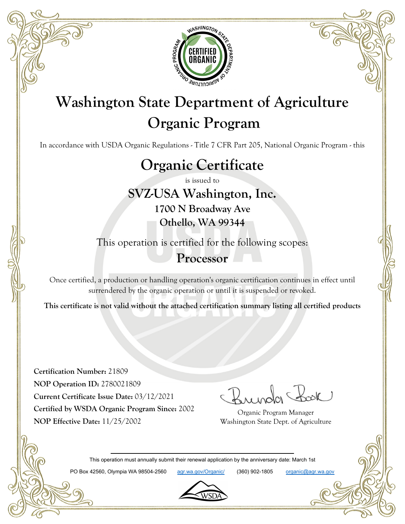

# **Washington State Department of Agriculture Organic Program**

In accordance with USDA Organic Regulations - Title 7 CFR Part 205, National Organic Program - this

# **Organic Certificate**

is issued to

**SVZ-USA Washington, Inc. 1700 N Broadway Ave Othello, WA 99344**

This operation is certified for the following scopes:

### **Processor**

Once certified, a production or handling operation's organic certification continues in effect until surrendered by the organic operation or until it is suspended or revoked.

**This certificate is not valid without the attached certification summary listing all certified products**

**Certification Number:** 21809 **NOP Operation ID:** 2780021809 **Current Certificate Issue Date:** 03/12/2021 **Certified by WSDA Organic Program Since:** 2002 **NOP Effective Date:** 11/25/2002

Organic Program Manager Washington State Dept. of Agriculture

This operation must annually submit their renewal application by the anniversary date: March 1st

PO Box 42560, Olympia WA 98504-2560 agr.wa.gov/Organic/ (360) 902-1805 organic@agr.wa.gov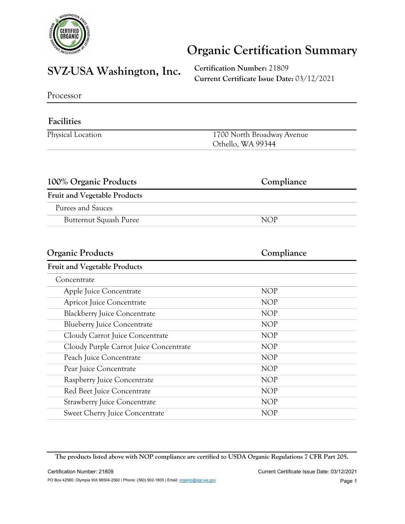

## **Organic Certification Summary**

## **SVZ-USA Washington, Inc. Certification Number:** <sup>21809</sup>

**Current Certificate Issue Date:** 03/12/2021

Processor

#### **Facilities**

| Physical Location | 1700 North Broadway Avenue |
|-------------------|----------------------------|
|                   | Othello, WA 99344          |

| 100% Organic Products               | Compliance |
|-------------------------------------|------------|
| <b>Fruit and Vegetable Products</b> |            |
| Purees and Sauces                   |            |
| Butternut Squash Puree              | NOP        |
|                                     |            |

| Compliance |
|------------|
|            |
|            |
| <b>NOP</b> |
| <b>NOP</b> |
| <b>NOP</b> |
| <b>NOP</b> |
| <b>NOP</b> |
| <b>NOP</b> |
| <b>NOP</b> |
| <b>NOP</b> |
| <b>NOP</b> |
| <b>NOP</b> |
| <b>NOP</b> |
| <b>NOP</b> |
|            |

**The products listed above with NOP compliance are certified to USDA Organic Regulations 7 CFR Part 205.**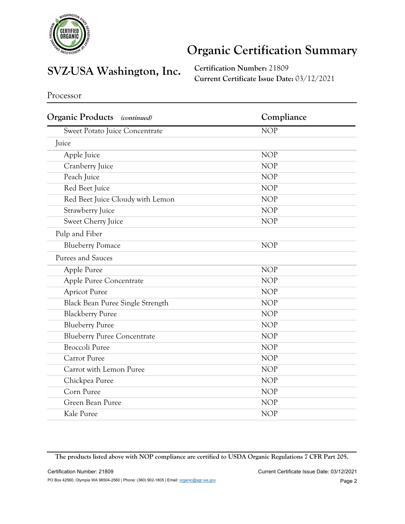

## **Organic Certification Summary**

# **SVZ-USA Washington, Inc. Certification Number:** <sup>21809</sup>

**Current Certificate Issue Date:** 03/12/2021

Processor

| <b>Organic Products</b><br><i>(continued)</i> | Compliance              |
|-----------------------------------------------|-------------------------|
| Sweet Potato Juice Concentrate                | $\overline{\text{NOP}}$ |
| Juice                                         |                         |
| Apple Juice                                   | <b>NOP</b>              |
| Cranberry Juice                               | <b>NOP</b>              |
| Peach Juice                                   | <b>NOP</b>              |
| Red Beet Juice                                | <b>NOP</b>              |
| Red Beet Juice Cloudy with Lemon              | <b>NOP</b>              |
| Strawberry Juice                              | <b>NOP</b>              |
| Sweet Cherry Juice                            | <b>NOP</b>              |
| Pulp and Fiber                                |                         |
| <b>Blueberry Pomace</b>                       | <b>NOP</b>              |
| Purees and Sauces                             |                         |
| Apple Puree                                   | <b>NOP</b>              |
| Apple Puree Concentrate                       | <b>NOP</b>              |
| <b>Apricot Puree</b>                          | <b>NOP</b>              |
| Black Bean Puree Single Strength              | <b>NOP</b>              |
| <b>Blackberry Puree</b>                       | <b>NOP</b>              |
| <b>Blueberry Puree</b>                        | <b>NOP</b>              |
| <b>Blueberry Puree Concentrate</b>            | <b>NOP</b>              |
| <b>Broccoli Puree</b>                         | <b>NOP</b>              |
| Carrot Puree                                  | <b>NOP</b>              |
| Carrot with Lemon Puree                       | <b>NOP</b>              |
| Chickpea Puree                                | <b>NOP</b>              |
| Corn Puree                                    | <b>NOP</b>              |
| Green Bean Puree                              | <b>NOP</b>              |
| Kale Puree                                    | <b>NOP</b>              |

**The products listed above with NOP compliance are certified to USDA Organic Regulations 7 CFR Part 205.**